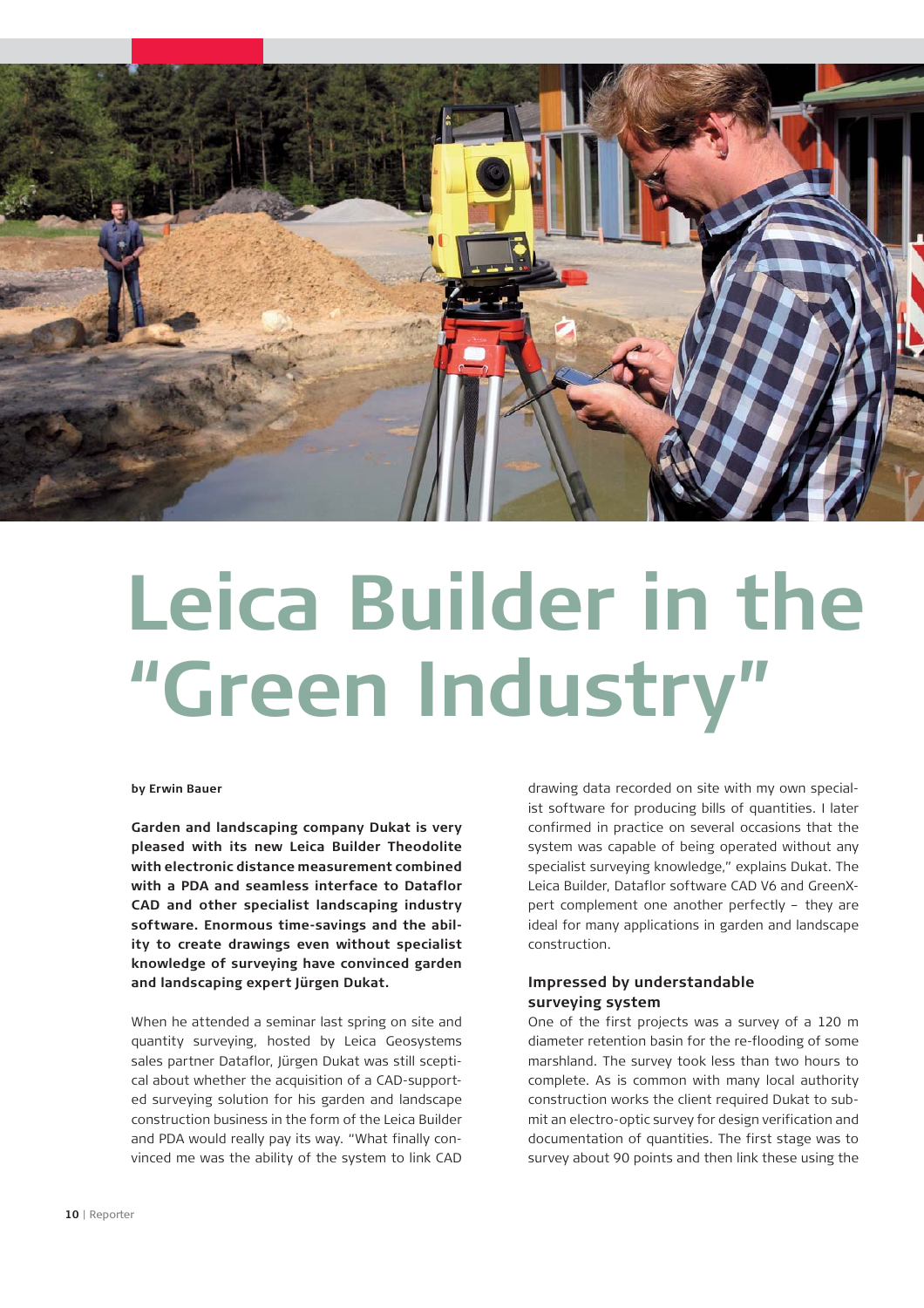

# **Leica Builder in the "Green Industry"**

### **by Erwin Bauer**

**Garden and landscaping company Dukat is very pleased with its new Leica Builder Theodolite with electronic distance measurement combined with a PDA and seamless interface to Dataflor CAD and other specialist landscaping industry software. Enormous time-savings and the ability to create drawings even without specialist knowledge of surveying have convinced garden and landscaping expert Jürgen Dukat.**

When he attended a seminar last spring on site and quantity surveying, hosted by Leica Geosystems sales partner Dataflor, Jürgen Dukat was still sceptical about whether the acquisition of a CAD-supported surveying solution for his garden and landscape construction business in the form of the Leica Builder and PDA would really pay its way. "What finally convinced me was the ability of the system to link CAD

drawing data recorded on site with my own specialist software for producing bills of quantities. I later confirmed in practice on several occasions that the system was capable of being operated without any specialist surveying knowledge," explains Dukat. The Leica Builder, Dataflor software CAD V6 and GreenXpert complement one another perfectly – they are ideal for many applications in garden and landscape construction.

# **Impressed by understandable surveying system**

One of the first projects was a survey of a 120 m diameter retention basin for the re-flooding of some marshland. The survey took less than two hours to complete. As is common with many local authority construction works the client required Dukat to submit an electro-optic survey for design verification and documentation of quantities. The first stage was to survey about 90 points and then link these using the